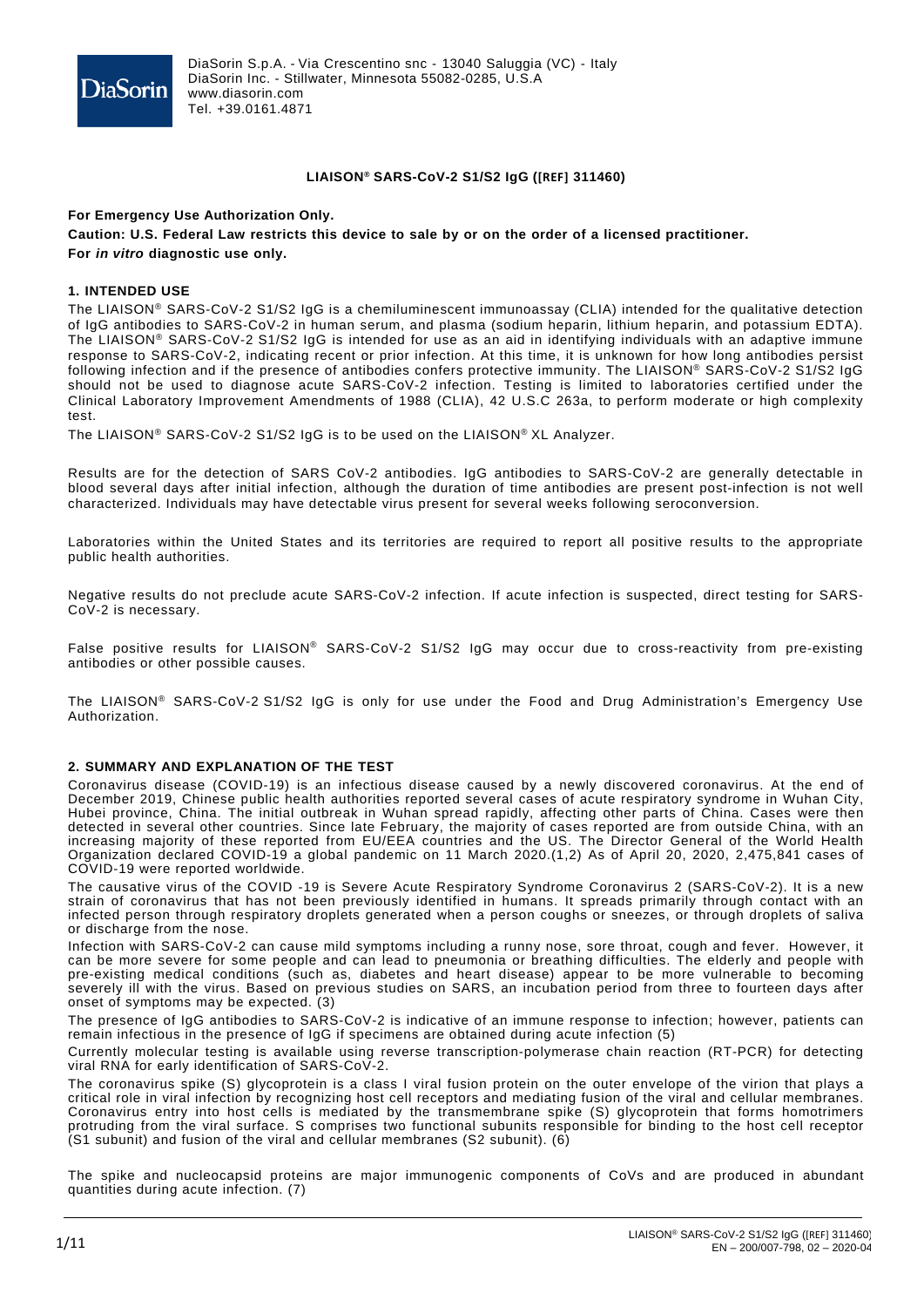

### **LIAISON® SARS-CoV-2 S1/S2 IgG ([REF] 311460)**

## **For Emergency Use Authorization Only.**  Caution: U.S. Federal Law restricts this device to sale by or on the order of a licensed practitioner. **For** *in vitro* **diagnostic use only.**

### **1. INTENDED USE**

The LIAISON® SARS-CoV-2 S1/S2 IgG is a chemiluminescent immunoassay (CLIA) intended for the qualitative detection of IgG antibodies to SARS-CoV-2 in human serum, and plasma (sodium heparin, lithium heparin, and potassium EDTA). The LIAISON® SARS-CoV-2 S1/S2 IgG is intended for use as an aid in identifying individuals with an adaptive immune response to SARS-CoV-2, indicating recent or prior infection. At this time, it is unknown for how long antibodies persist following infection and if the presence of antibodies confers protective immunity. The LIAISON® SARS-CoV-2 S1/S2 IgG should not be used to diagnose acute SARS-CoV-2 infection. Testing is limited to laboratories certified under the Clinical Laboratory Improvement Amendments of 1988 (CLIA), 42 U.S.C 263a, to perform moderate or high complexity test.

The LIAISON® SARS-CoV-2 S1/S2 IgG is to be used on the LIAISON® XL Analyzer.

Results are for the detection of SARS CoV-2 antibodies. IgG antibodies to SARS-CoV-2 are generally detectable in blood several days after initial infection, although the duration of time antibodies are present post-infection is not well characterized. Individuals may have detectable virus present for several weeks following seroconversion.

Laboratories within the United States and its territories are required to report all positive results to the appropriate public health authorities.

Negative results do not preclude acute SARS-CoV-2 infection. If acute infection is suspected, direct testing for SARS-CoV-2 is necessary.

False positive results for LIAISON® SARS-CoV-2 S1/S2 IgG may occur due to cross-reactivity from pre-existing antibodies or other possible causes.

The LIAISON® SARS-CoV-2 S1/S2 IgG is only for use under the Food and Drug Administration's Emergency Use Authorization.

### **2. SUMMARY AND EXPLANATION OF THE TEST**

Coronavirus disease (COVID-19) is an infectious disease caused by a newly discovered coronavirus. At the end of December 2019, Chinese public health authorities reported several cases of acute respiratory syndrome in Wuhan City, Hubei province, China. The initial outbreak in Wuhan spread rapidly, affecting other parts of China. Cases were then detected in several other countries. Since late February, the majority of cases reported are from outside China, with an increasing majority of these reported from EU/EEA countries and the US. The Director General of the World Health Organization declared COVID-19 a global pandemic on 11 March 2020.(1,2) As of April 20, 2020, 2,475,841 cases of COVID-19 were reported worldwide.

The causative virus of the COVID -19 is Severe Acute Respiratory Syndrome Coronavirus 2 (SARS-CoV-2). It is a new strain of coronavirus that has not been previously identified in humans. It spreads primarily through contact with an infected person through respiratory droplets generated when a person coughs or sneezes, or through droplets of saliva or discharge from the nose.

Infection with SARS-CoV-2 can cause mild symptoms including a runny nose, sore throat, cough and fever. However, it can be more severe for some people and can lead to pneumonia or breathing difficulties. The elderly and people with pre-existing medical conditions (such as, diabetes and heart disease) appear to be more vulnerable to becoming severely ill with the virus. Based on previous studies on SARS, an incubation period from three to fourteen days after onset of symptoms may be expected. (3)

The presence of IgG antibodies to SARS-CoV-2 is indicative of an immune response to infection; however, patients can remain infectious in the presence of IgG if specimens are obtained during acute infection (5)

Currently molecular testing is available using reverse transcription-polymerase chain reaction (RT-PCR) for detecting viral RNA for early identification of SARS-CoV-2.

The coronavirus spike (S) glycoprotein is a class I viral fusion protein on the outer envelope of the virion that plays a critical role in viral infection by recognizing [host cell receptors](https://thenativeantigencompany.com/coronavirus-receptors/) and mediating fusion of the viral and cellular membranes. Coronavirus entry into host cells is mediated by the transmembrane spike (S) glycoprotein that forms homotrimers protruding from the viral surface. S comprises two functional subunits responsible for binding to the host cell receptor (S1 subunit) and fusion of the viral and cellular membranes (S2 subunit). (6)

The spike and nucleocapsid proteins are major immunogenic components of CoVs and are produced in abundant quantities during acute infection. (7)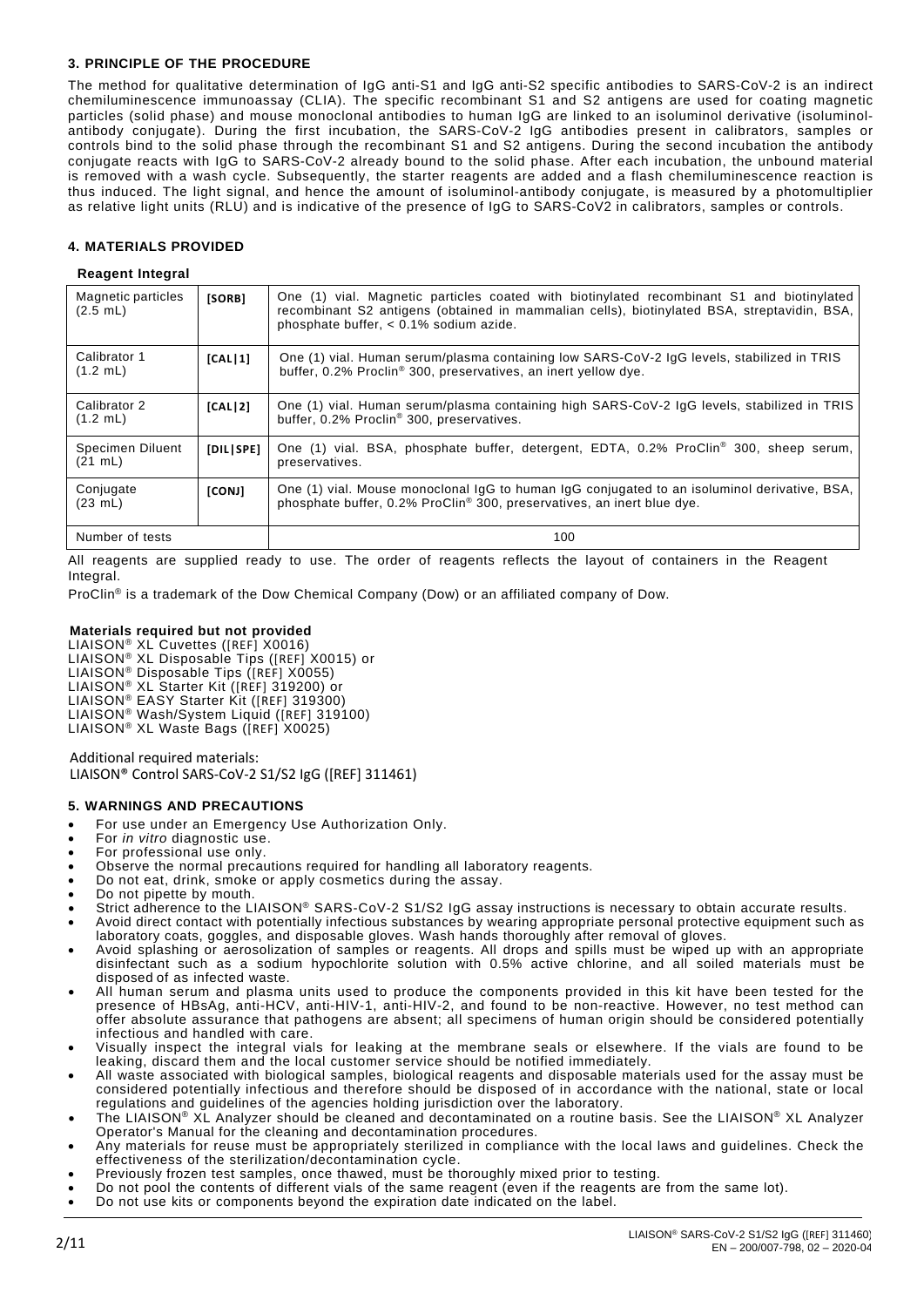# **3. PRINCIPLE OF THE PROCEDURE**

The method for qualitative determination of IgG anti-S1 and IgG anti-S2 specific antibodies to SARS-CoV-2 is an indirect chemiluminescence immunoassay (CLIA). The specific recombinant S1 and S2 antigens are used for coating magnetic particles (solid phase) and mouse monoclonal antibodies to human IgG are linked to an isoluminol derivative (isoluminolantibody conjugate). During the first incubation, the SARS-CoV-2 IgG antibodies present in calibrators, samples or controls bind to the solid phase through the recombinant S1 and S2 antigens. During the second incubation the antibody conjugate reacts with IgG to SARS-CoV-2 already bound to the solid phase. After each incubation, the unbound material is removed with a wash cycle. Subsequently, the starter reagents are added and a flash chemiluminescence reaction is thus induced. The light signal, and hence the amount of isoluminol-antibody conjugate, is measured by a photomultiplier as relative light units (RLU) and is indicative of the presence of IgG to SARS-CoV2 in calibrators, samples or controls.

# **4. MATERIALS PROVIDED**

# **Reagent Integral**

| Magnetic particles<br>(2.5 mL)          | [SORB]    | One (1) vial. Magnetic particles coated with biotinylated recombinant S1 and biotinylated<br>recombinant S2 antigens (obtained in mammalian cells), biotinylated BSA, streptavidin, BSA,<br>phosphate buffer, < 0.1% sodium azide. |
|-----------------------------------------|-----------|------------------------------------------------------------------------------------------------------------------------------------------------------------------------------------------------------------------------------------|
| Calibrator 1<br>$(1.2 \, \text{mL})$    | [CAL11]   | One (1) vial. Human serum/plasma containing low SARS-CoV-2 IgG levels, stabilized in TRIS<br>buffer, 0.2% Proclin <sup>®</sup> 300, preservatives, an inert yellow dye.                                                            |
| Calibrator 2<br>$(1.2 \, \text{mL})$    | [CAL]2]   | One (1) vial. Human serum/plasma containing high SARS-CoV-2 IgG levels, stabilized in TRIS<br>buffer, 0.2% Proclin® 300, preservatives.                                                                                            |
| Specimen Diluent<br>$(21 \; \text{mL})$ | [DIL SPE] | One (1) vial. BSA, phosphate buffer, detergent, EDTA, 0.2% ProClin <sup>®</sup> 300, sheep serum,<br>preservatives.                                                                                                                |
| Conjugate<br>(23 mL)                    | [CONJ]    | One (1) vial. Mouse monoclonal IgG to human IgG conjugated to an isoluminol derivative, BSA,<br>phosphate buffer, 0.2% ProClin <sup>®</sup> 300, preservatives, an inert blue dye.                                                 |
| Number of tests                         |           | 100                                                                                                                                                                                                                                |

All reagents are supplied ready to use. The order of reagents reflects the layout of containers in the Reagent Integral.

ProClin® is a trademark of the Dow Chemical Company (Dow) or an affiliated company of Dow.

# **Materials required but not provided**

LIAISON® XL Cuvettes ([REF] X0016) LIAISON® XL Disposable Tips ([REF] X0015) or LIAISON® Disposable Tips ([REF] X0055) LIAISON® XL Starter Kit ([REF] 319200) or LIAISON® EASY Starter Kit ([REF] 319300) LIAISON® Wash/System Liquid ([REF] 319100) LIAISON® XL Waste Bags ([REF] X0025)

Additional required materials: LIAISON® Control SARS-CoV-2 S1/S2 IgG ([REF] 311461)

# **5. WARNINGS AND PRECAUTIONS**

- For use under an Emergency Use Authorization Only.
- For *in vitro* diagnostic use.
- For professional use only.
- Observe the normal precautions required for handling all laboratory reagents.
- Do not eat, drink, smoke or apply cosmetics during the assay.
- Do not pipette by mouth.
- Strict adherence to the LIAISON® SARS-CoV-2 S1/S2 IgG assay instructions is necessary to obtain accurate results.
- Avoid direct contact with potentially infectious substances by wearing appropriate personal protective equipment such as laboratory coats, goggles, and disposable gloves. Wash hands thoroughly after removal of gloves.
- Avoid splashing or aerosolization of samples or reagents. All drops and spills must be wiped up with an appropriate disinfectant such as a sodium hypochlorite solution with 0.5% active chlorine, and all soiled materials must be disposed of as infected waste.
- All human serum and plasma units used to produce the components provided in this kit have been tested for the presence of HBsAg, anti-HCV, anti-HIV-1, anti-HIV-2, and found to be non-reactive. However, no test method can offer absolute assurance that pathogens are absent; all specimens of human origin should be considered potentially infectious and handled with care.
- Visually inspect the integral vials for leaking at the membrane seals or elsewhere. If the vials are found to be leaking, discard them and the local customer service should be notified immediately.
- All waste associated with biological samples, biological reagents and disposable materials used for the assay must be considered potentially infectious and therefore should be disposed of in accordance with the national, state or local regulations and guidelines of the agencies holding jurisdiction over the laboratory.
- The LIAISON® XL Analyzer should be cleaned and decontaminated on a routine basis. See the LIAISON® XL Analyzer Operator's Manual for the cleaning and decontamination procedures.
- Any materials for reuse must be appropriately sterilized in compliance with the local laws and guidelines. Check the effectiveness of the sterilization/decontamination cycle.
- Previously frozen test samples, once thawed, must be thoroughly mixed prior to testing.
- Do not pool the contents of different vials of the same reagent (even if the reagents are from the same lot).
- Do not use kits or components beyond the expiration date indicated on the label.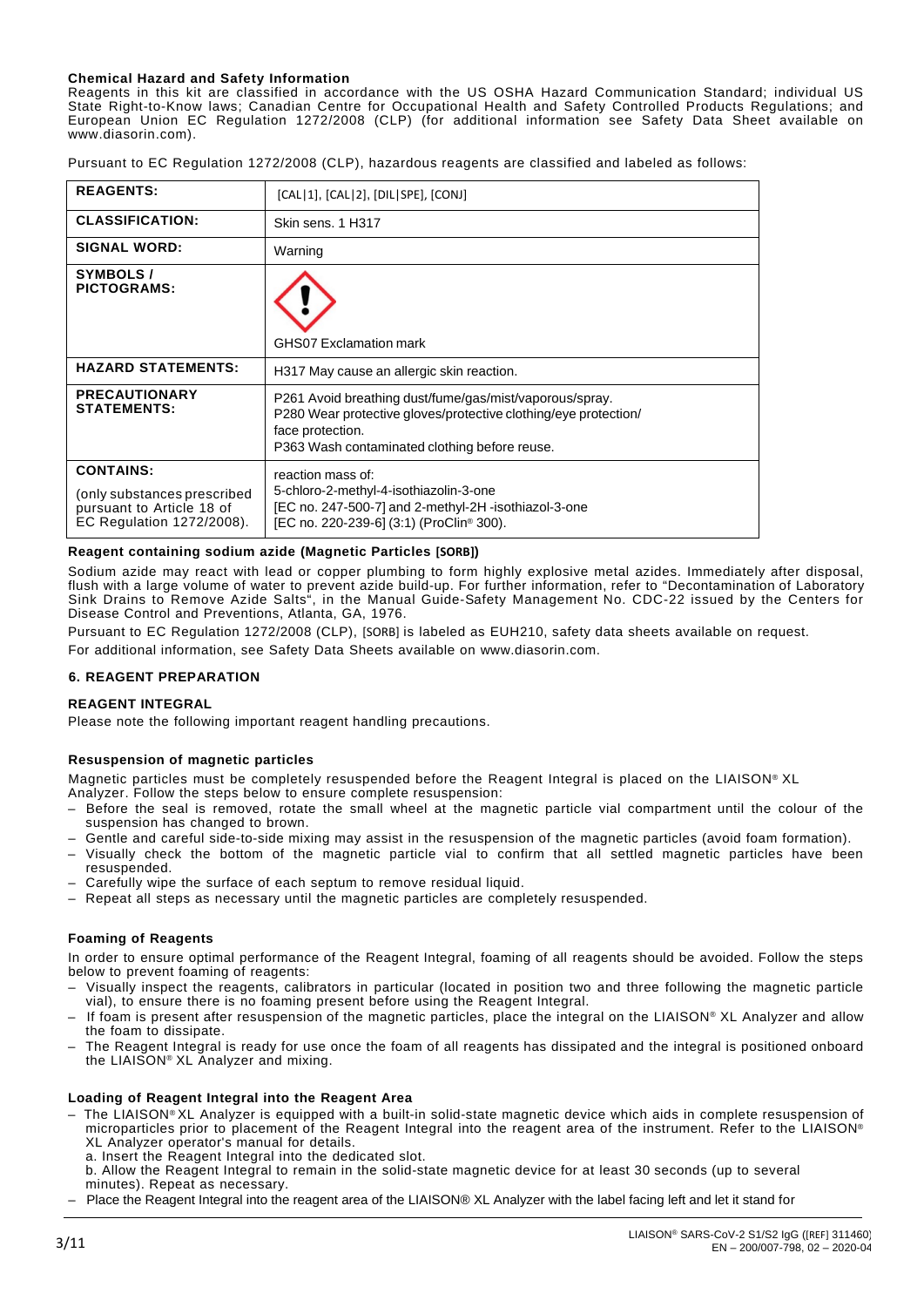### **Chemical Hazard and Safety Information**

Reagents in this kit are classified in accordance with the US OSHA Hazard Communication Standard; individual US State Right-to-Know laws; Canadian Centre for Occupational Health and Safety Controlled Products Regulations; and European Union EC Regulation 1272/2008 (CLP) (for additional information see Safety Data Sheet available on www.diasorin.com).

Pursuant to EC Regulation 1272/2008 (CLP), hazardous reagents are classified and labeled as follows:

| <b>REAGENTS:</b>                                                                                          | [CAL 1], [CAL 2], [DIL SPE], [CONJ]                                                                                                                                                             |  |  |  |
|-----------------------------------------------------------------------------------------------------------|-------------------------------------------------------------------------------------------------------------------------------------------------------------------------------------------------|--|--|--|
| <b>CLASSIFICATION:</b>                                                                                    | Skin sens, 1 H317                                                                                                                                                                               |  |  |  |
| <b>SIGNAL WORD:</b>                                                                                       | Warning                                                                                                                                                                                         |  |  |  |
| <b>SYMBOLS/</b><br><b>PICTOGRAMS:</b>                                                                     | <b>GHS07 Exclamation mark</b>                                                                                                                                                                   |  |  |  |
|                                                                                                           |                                                                                                                                                                                                 |  |  |  |
| <b>HAZARD STATEMENTS:</b>                                                                                 | H317 May cause an allergic skin reaction.                                                                                                                                                       |  |  |  |
| <b>PRECAUTIONARY</b><br><b>STATEMENTS:</b>                                                                | P261 Avoid breathing dust/fume/gas/mist/vaporous/spray.<br>P280 Wear protective gloves/protective clothing/eye protection/<br>face protection.<br>P363 Wash contaminated clothing before reuse. |  |  |  |
| <b>CONTAINS:</b><br>(only substances prescribed<br>pursuant to Article 18 of<br>EC Regulation 1272/2008). | reaction mass of:<br>5-chloro-2-methyl-4-isothiazolin-3-one<br>[EC no. 247-500-7] and 2-methyl-2H -isothiazol-3-one<br>[EC no. 220-239-6] (3:1) (ProClin® 300).                                 |  |  |  |

### **Reagent containing sodium azide (Magnetic Particles [SORB])**

Sodium azide may react with lead or copper plumbing to form highly explosive metal azides. Immediately after disposal, flush with a large volume of water to prevent azide build-up. For further information, refer to "Decontamination of Laboratory Sink Drains to Remove Azide Salts", in the Manual Guide-Safety Management No. CDC-22 issued by the Centers for Disease Control and Preventions, Atlanta, GA, 1976.

Pursuant to EC Regulation 1272/2008 (CLP), [SORB] is labeled as EUH210, safety data sheets available on request. For additional information, see Safety Data Sheets available on [www.diasorin.com.](http://www.diasorin.com/)

# **6. REAGENT PREPARATION**

### **REAGENT INTEGRAL**

Please note the following important reagent handling precautions.

### **Resuspension of magnetic particles**

Magnetic particles must be completely resuspended before the Reagent Integral is placed on the LIAISON® XL

- Analyzer. Follow the steps below to ensure complete resuspension:
- Before the seal is removed, rotate the small wheel at the magnetic particle vial compartment until the colour of the suspension has changed to brown.
- Gentle and careful side-to-side mixing may assist in the resuspension of the magnetic particles (avoid foam formation).
- Visually check the bottom of the magnetic particle vial to confirm that all settled magnetic particles have been resuspended.
- Carefully wipe the surface of each septum to remove residual liquid.
- Repeat all steps as necessary until the magnetic particles are completely resuspended.

### **Foaming of Reagents**

In order to ensure optimal performance of the Reagent Integral, foaming of all reagents should be avoided. Follow the steps below to prevent foaming of reagents:

- Visually inspect the reagents, calibrators in particular (located in position two and three following the magnetic particle vial), to ensure there is no foaming present before using the Reagent Integral.
- If foam is present after resuspension of the magnetic particles, place the integral on the LIAISON® XL Analyzer and allow the foam to dissipate.
- The Reagent Integral is ready for use once the foam of all reagents has dissipated and the integral is positioned onboard the LIAISON® XL Analyzer and mixing.

### **Loading of Reagent Integral into the Reagent Area**

- The LIAISON® XL Analyzer is equipped with a built-in solid-state magnetic device which aids in complete resuspension of microparticles prior to placement of the Reagent Integral into the reagent area of the instrument. Refer to the LIAISON® XL Analyzer operator's manual for details.
	- a. Insert the Reagent Integral into the dedicated slot.
	- b. Allow the Reagent Integral to remain in the solid-state magnetic device for at least 30 seconds (up to several minutes). Repeat as necessary.
- Place the Reagent Integral into the reagent area of the LIAISON® XL Analyzer with the label facing left and let it stand for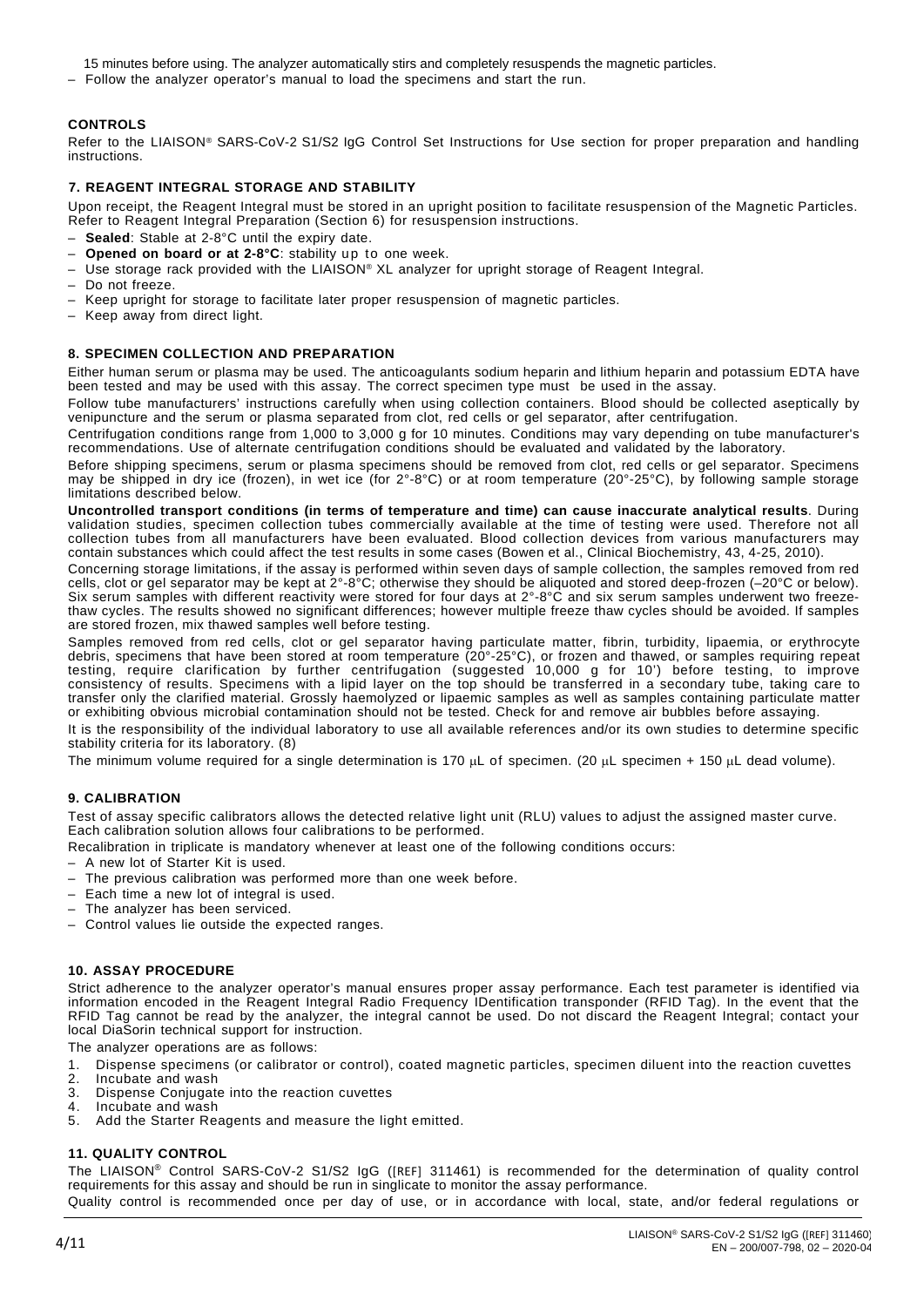- 15 minutes before using. The analyzer automatically stirs and completely resuspends the magnetic particles.
- Follow the analyzer operator's manual to load the specimens and start the run.

# **CONTROLS**

Refer to the LIAISON® SARS-CoV-2 S1/S2 IgG Control Set Instructions for Use section for proper preparation and handling instructions.

### **7. REAGENT INTEGRAL STORAGE AND STABILITY**

Upon receipt, the Reagent Integral must be stored in an upright position to facilitate resuspension of the Magnetic Particles. Refer to Reagent Integral Preparation (Section 6) for resuspension instructions.

- Sealed: Stable at 2-8°C until the expiry date.
- **Opened on board or at 2-8°C**: stability up to one week.
- Use storage rack provided with the LIAISON® XL analyzer for upright storage of Reagent Integral.
- Do not freeze.
- Keep upright for storage to facilitate later proper resuspension of magnetic particles.
- Keep away from direct light.

### **8. SPECIMEN COLLECTION AND PREPARATION**

Either human serum or plasma may be used. The anticoagulants sodium heparin and lithium heparin and potassium EDTA have been tested and may be used with this assay. The correct specimen type must be used in the assay.

Follow tube manufacturers' instructions carefully when using collection containers. Blood should be collected aseptically by venipuncture and the serum or plasma separated from clot, red cells or gel separator, after centrifugation.

Centrifugation conditions range from 1,000 to 3,000 g for 10 minutes. Conditions may vary depending on tube manufacturer's recommendations. Use of alternate centrifugation conditions should be evaluated and validated by the laboratory.

Before shipping specimens, serum or plasma specimens should be removed from clot, red cells or gel separator. Specimens may be shipped in dry ice (frozen), in wet ice (for 2°-8°C) or at room temperature (20°-25°C), by following sample storage limitations described below.

**Uncontrolled transport conditions (in terms of temperature and time) can cause inaccurate analytical results**. During validation studies, specimen collection tubes commercially available at the time of testing were used. Therefore not all collection tubes from all manufacturers have been evaluated. Blood collection devices from various manufacturers may contain substances which could affect the test results in some cases (Bowen et al., Clinical Biochemistry, 43, 4-25, 2010).

Concerning storage limitations, if the assay is performed within seven days of sample collection, the samples removed from red cells, clot or gel separator may be kept at 2°-8°C; otherwise they should be aliquoted and stored deep-frozen (–20°C or below). Six serum samples with different reactivity were stored for four days at 2°-8°C and six serum samples underwent two freezethaw cycles. The results showed no significant differences; however multiple freeze thaw cycles should be avoided. If samples are stored frozen, mix thawed samples well before testing.

Samples removed from red cells, clot or gel separator having particulate matter, fibrin, turbidity, lipaemia, or erythrocyte debris, specimens that have been stored at room temperature (20°-25°C), or frozen and thawed, or samples requiring repeat testing, require clarification by further centrifugation (suggested 10,000 g for 10') before testing, to improve consistency of results. Specimens with a lipid layer on the top should be transferred in a secondary tube, taking care to transfer only the clarified material. Grossly haemolyzed or lipaemic samples as well as samples containing particulate matter or exhibiting obvious microbial contamination should not be tested. Check for and remove air bubbles before assaying.

It is the responsibility of the individual laboratory to use all available references and/or its own studies to determine specific stability criteria for its laboratory. (8)

The minimum volume required for a single determination is 170  $\mu$ L of specimen. (20  $\mu$ L specimen + 150  $\mu$ L dead volume).

### **9. CALIBRATION**

Test of assay specific calibrators allows the detected relative light unit (RLU) values to adjust the assigned master curve. Each calibration solution allows four calibrations to be performed.

Recalibration in triplicate is mandatory whenever at least one of the following conditions occurs:

- A new lot of Starter Kit is used.
- The previous calibration was performed more than one week before.
- Each time a new lot of integral is used.
- The analyzer has been serviced.
- Control values lie outside the expected ranges.

#### **10. ASSAY PROCEDURE**

Strict adherence to the analyzer operator's manual ensures proper assay performance. Each test parameter is identified via information encoded in the Reagent Integral Radio Frequency IDentification transponder (RFID Tag). In the event that the RFID Tag cannot be read by the analyzer, the integral cannot be used. Do not discard the Reagent Integral; contact your local DiaSorin technical support for instruction.

The analyzer operations are as follows:

- 1. Dispense specimens (or calibrator or control), coated magnetic particles, specimen diluent into the reaction cuvettes
- 2. Incubate and wash<br>3. Dispense Coniugate
- 3. Dispense Conjugate into the reaction cuvettes<br>4. Incubate and wash
- 4. Incubate and wash
- 5. Add the Starter Reagents and measure the light emitted.

### **11. QUALITY CONTROL**

The LIAISON® Control SARS-CoV-2 S1/S2 IgG ([REF] 311461) is recommended for the determination of quality control requirements for this assay and should be run in singlicate to monitor the assay performance.

Quality control is recommended once per day of use, or in accordance with local, state, and/or federal regulations or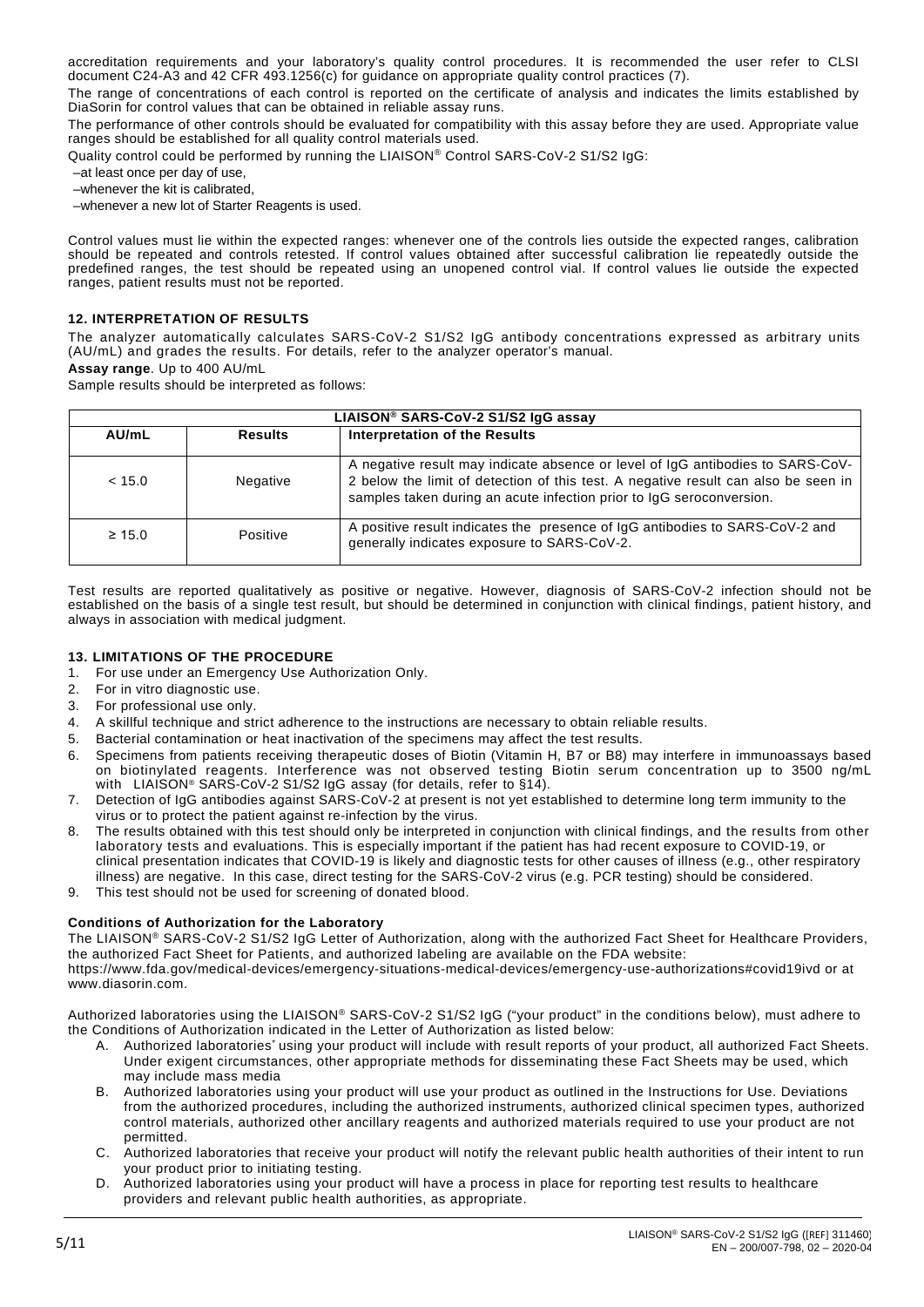accreditation requirements and your laboratory's quality control procedures. It is recommended the user refer to CLSI document C24-A3 and 42 CFR 493.1256(c) for guidance on appropriate quality control practices (7).

The range of concentrations of each control is reported on the certificate of analysis and indicates the limits established by DiaSorin for control values that can be obtained in reliable assay runs.

The performance of other controls should be evaluated for compatibility with this assay before they are used. Appropriate value ranges should be established for all quality control materials used.

Quality control could be performed by running the LIAISON® Control SARS-CoV-2 S1/S2 IgG:

–at least once per day of use,

–whenever the kit is calibrated,

–whenever a new lot of Starter Reagents is used.

Control values must lie within the expected ranges: whenever one of the controls lies outside the expected ranges, calibration should be repeated and controls retested. If control values obtained after successful calibration lie repeatedly outside the predefined ranges, the test should be repeated using an unopened control vial. If control values lie outside the expected ranges, patient results must not be reported.

### **12. INTERPRETATION OF RESULTS**

The analyzer automatically calculates SARS-CoV-2 S1/S2 IgG antibody concentrations expressed as arbitrary units (AU/mL) and grades the results. For details, refer to the analyzer operator's manual.

**Assay range**. Up to 400 AU/mL

Sample results should be interpreted as follows:

| LIAISON® SARS-CoV-2 S1/S2 IgG assay |                |                                                                                                                                                                                                                                              |  |  |  |  |
|-------------------------------------|----------------|----------------------------------------------------------------------------------------------------------------------------------------------------------------------------------------------------------------------------------------------|--|--|--|--|
| AU/mL                               | <b>Results</b> | <b>Interpretation of the Results</b>                                                                                                                                                                                                         |  |  |  |  |
| < 15.0                              | Negative       | A negative result may indicate absence or level of IgG antibodies to SARS-CoV-<br>2 below the limit of detection of this test. A negative result can also be seen in<br>samples taken during an acute infection prior to IgG seroconversion. |  |  |  |  |
| $\geq 15.0$                         | Positive       | A positive result indicates the presence of IgG antibodies to SARS-CoV-2 and<br>generally indicates exposure to SARS-CoV-2.                                                                                                                  |  |  |  |  |

Test results are reported qualitatively as positive or negative. However, diagnosis of SARS-CoV-2 infection should not be established on the basis of a single test result, but should be determined in conjunction with clinical findings, patient history, and always in association with medical judgment.

### **13. LIMITATIONS OF THE PROCEDURE**

- 1. For use under an Emergency Use Authorization Only.<br>2. For in vitro diagnostic use.
- For in vitro diagnostic use.
- 3. For professional use only.
- 4. A skillful technique and strict adherence to the instructions are necessary to obtain reliable results.
- 5. Bacterial contamination or heat inactivation of the specimens may affect the test results.
- 6. Specimens from patients receiving therapeutic doses of Biotin (Vitamin H, B7 or B8) may interfere in immunoassays based on biotinylated reagents. Interference was not observed testing Biotin serum concentration up to 3500 ng/mL with LIAISON® SARS-CoV-2 S1/S2 IgG assay (for details, refer to §14).
- 7. Detection of IgG antibodies against SARS-CoV-2 at present is not yet established to determine long term immunity to the virus or to protect the patient against re-infection by the virus.
- 8. The results obtained with this test should only be interpreted in conjunction with clinical findings, and the results from other laboratory tests and evaluations. This is especially important if the patient has had recent exposure to COVID-19, or clinical presentation indicates that COVID-19 is likely and diagnostic tests for other causes of illness (e.g., other respiratory illness) are negative. In this case, direct testing for the SARS-CoV-2 virus (e.g. PCR testing) should be considered.
- 9. This test should not be used for screening of donated blood.

### **Conditions of Authorization for the Laboratory**

The LIAISON® SARS-CoV-2 S1/S2 IgG Letter of Authorization, along with the authorized Fact Sheet for Healthcare Providers, the authorized Fact Sheet for Patients, and authorized labeling are available on the FDA website: https://www.fda.gov/medical-devices/emergency-situations-medical-devices/emergency-use-authorizations#covid19ivd or at

www.diasorin.com.

- Authorized laboratories using the LIAISON® SARS-CoV-2 S1/S2 IgG ("your product" in the conditions below), must adhere to the Conditions of Authorization indicated in the Letter of Authorization as listed below:
	- A. Authorized laboratories<sup>\*</sup> using your product will include with result reports of your product, all authorized Fact Sheets. Under exigent circumstances, other appropriate methods for disseminating these Fact Sheets may be used, which may include mass media
	- B. Authorized laboratories using your product will use your product as outlined in the Instructions for Use. Deviations from the authorized procedures, including the authorized instruments, authorized clinical specimen types, authorized control materials, authorized other ancillary reagents and authorized materials required to use your product are not permitted.
	- C. Authorized laboratories that receive your product will notify the relevant public health authorities of their intent to run your product prior to initiating testing.
	- D. Authorized laboratories using your product will have a process in place for reporting test results to healthcare providers and relevant public health authorities, as appropriate.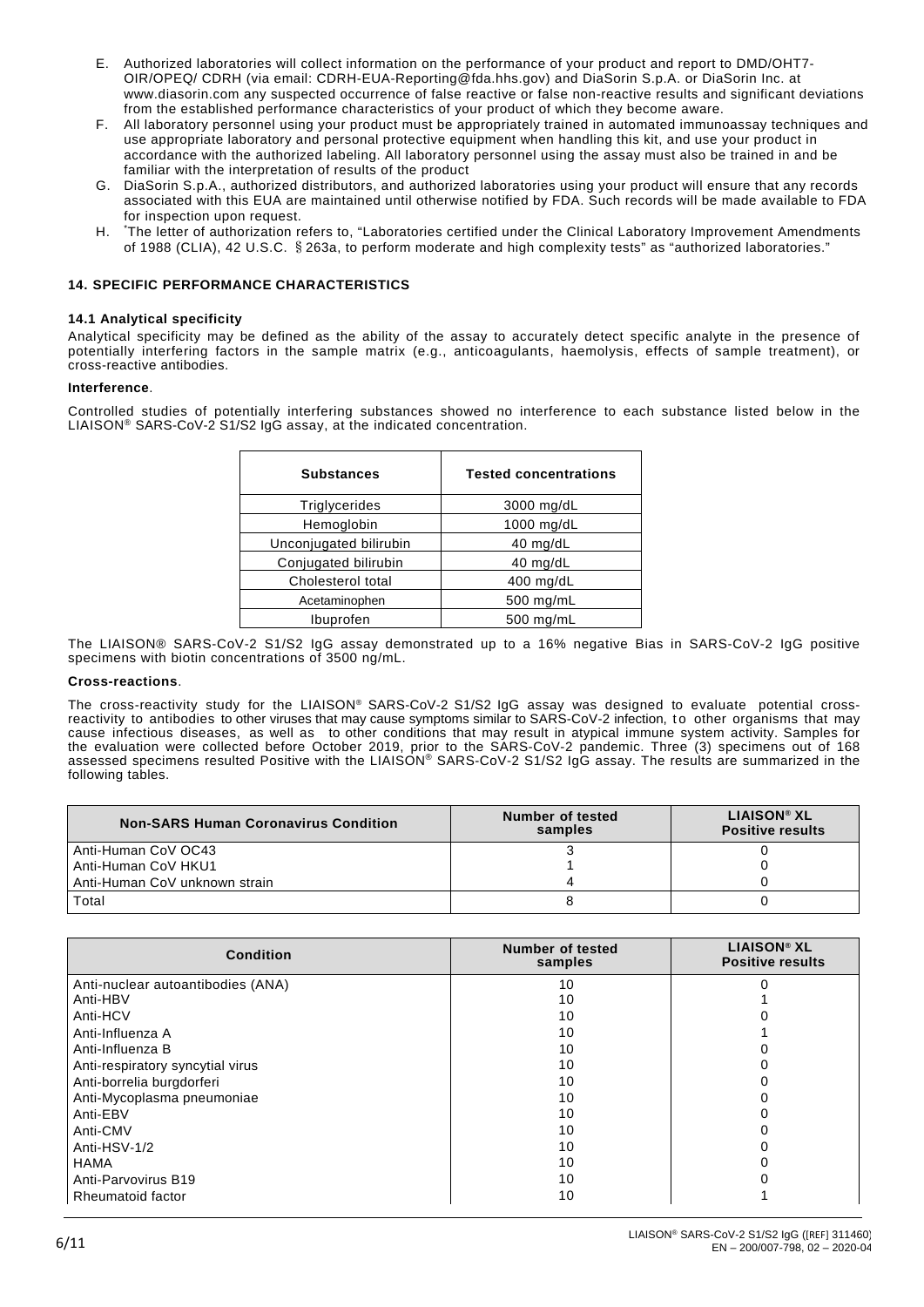- E. Authorized laboratories will collect information on the performance of your product and report to DMD/OHT7- OIR/OPEQ/ CDRH (via email: CDRH-EUA-Reporting@fda.hhs.gov) and DiaSorin S.p.A. or DiaSorin Inc. at www.diasorin.com any suspected occurrence of false reactive or false non-reactive results and significant deviations from the established performance characteristics of your product of which they become aware.
- F. All laboratory personnel using your product must be appropriately trained in automated immunoassay techniques and use appropriate laboratory and personal protective equipment when handling this kit, and use your product in accordance with the authorized labeling. All laboratory personnel using the assay must also be trained in and be familiar with the interpretation of results of the product
- G. DiaSorin S.p.A., authorized distributors, and authorized laboratories using your product will ensure that any records associated with this EUA are maintained until otherwise notified by FDA. Such records will be made available to FDA for inspection upon request.
- $H<sub>1</sub>$ The letter of authorization refers to, "Laboratories certified under the Clinical Laboratory Improvement Amendments of 1988 (CLIA), 42 U.S.C. §263a, to perform moderate and high complexity tests" as "authorized laboratories."

## **14. SPECIFIC PERFORMANCE CHARACTERISTICS**

#### **14.1 Analytical specificity**

Analytical specificity may be defined as the ability of the assay to accurately detect specific analyte in the presence of potentially interfering factors in the sample matrix (e.g., anticoagulants, haemolysis, effects of sample treatment), or cross-reactive antibodies.

### **Interference**.

Controlled studies of potentially interfering substances showed no interference to each substance listed below in the LIAISON® SARS-CoV-2 S1/S2 IgG assay, at the indicated concentration.

| <b>Substances</b>      | <b>Tested concentrations</b> |
|------------------------|------------------------------|
| Triglycerides          | 3000 mg/dL                   |
| Hemoglobin             | 1000 mg/dL                   |
| Unconjugated bilirubin | $40$ mg/dL                   |
| Conjugated bilirubin   | 40 mg/dL                     |
| Cholesterol total      | $400$ mg/dL                  |
| Acetaminophen          | 500 mg/mL                    |
| Ibuprofen              | 500 mg/mL                    |

The LIAISON® SARS-CoV-2 S1/S2 IgG assay demonstrated up to a 16% negative Bias in SARS-CoV-2 IgG positive specimens with biotin concentrations of 3500 ng/mL.

#### **Cross-reactions**.

The cross-reactivity study for the LIAISON® SARS-CoV-2 S1/S2 IgG assay was designed to evaluate potential crossreactivity to antibodies to other viruses that may cause symptoms similar to SARS-CoV-2 infection, to other organisms that may cause infectious diseases, as well as to other conditions that may result in atypical immune system activity. Samples for the evaluation were collected before October 2019, prior to the SARS-CoV-2 pandemic. Three (3) specimens out of 168 assessed specimens resulted Positive with the LIAISON® SARS-CoV-2 S1/S2 IgG assay. The results are summarized in the following tables.

| <b>Non-SARS Human Coronavirus Condition</b> | Number of tested<br>samples | <b>LIAISON® XL</b><br><b>Positive results</b> |
|---------------------------------------------|-----------------------------|-----------------------------------------------|
| Anti-Human CoV OC43                         |                             |                                               |
| Anti-Human CoV HKU1                         |                             |                                               |
| Anti-Human CoV unknown strain               |                             |                                               |
| Total                                       |                             |                                               |

| <b>Condition</b>                  | <b>Number of tested</b><br>samples | <b>LIAISON® XL</b><br><b>Positive results</b> |
|-----------------------------------|------------------------------------|-----------------------------------------------|
| Anti-nuclear autoantibodies (ANA) | 10                                 |                                               |
| Anti-HBV                          | 10                                 |                                               |
| Anti-HCV                          | 10                                 |                                               |
| Anti-Influenza A                  | 10                                 |                                               |
| Anti-Influenza B                  | 10                                 |                                               |
| Anti-respiratory syncytial virus  | 10                                 |                                               |
| Anti-borrelia burgdorferi         | 10                                 |                                               |
| Anti-Mycoplasma pneumoniae        | 10                                 |                                               |
| Anti-EBV                          | 10                                 |                                               |
| Anti-CMV                          | 10                                 |                                               |
| Anti-HSV-1/2                      | 10                                 |                                               |
| <b>HAMA</b>                       | 10                                 |                                               |
| Anti-Parvovirus B19               | 10                                 |                                               |
| Rheumatoid factor                 | 10                                 |                                               |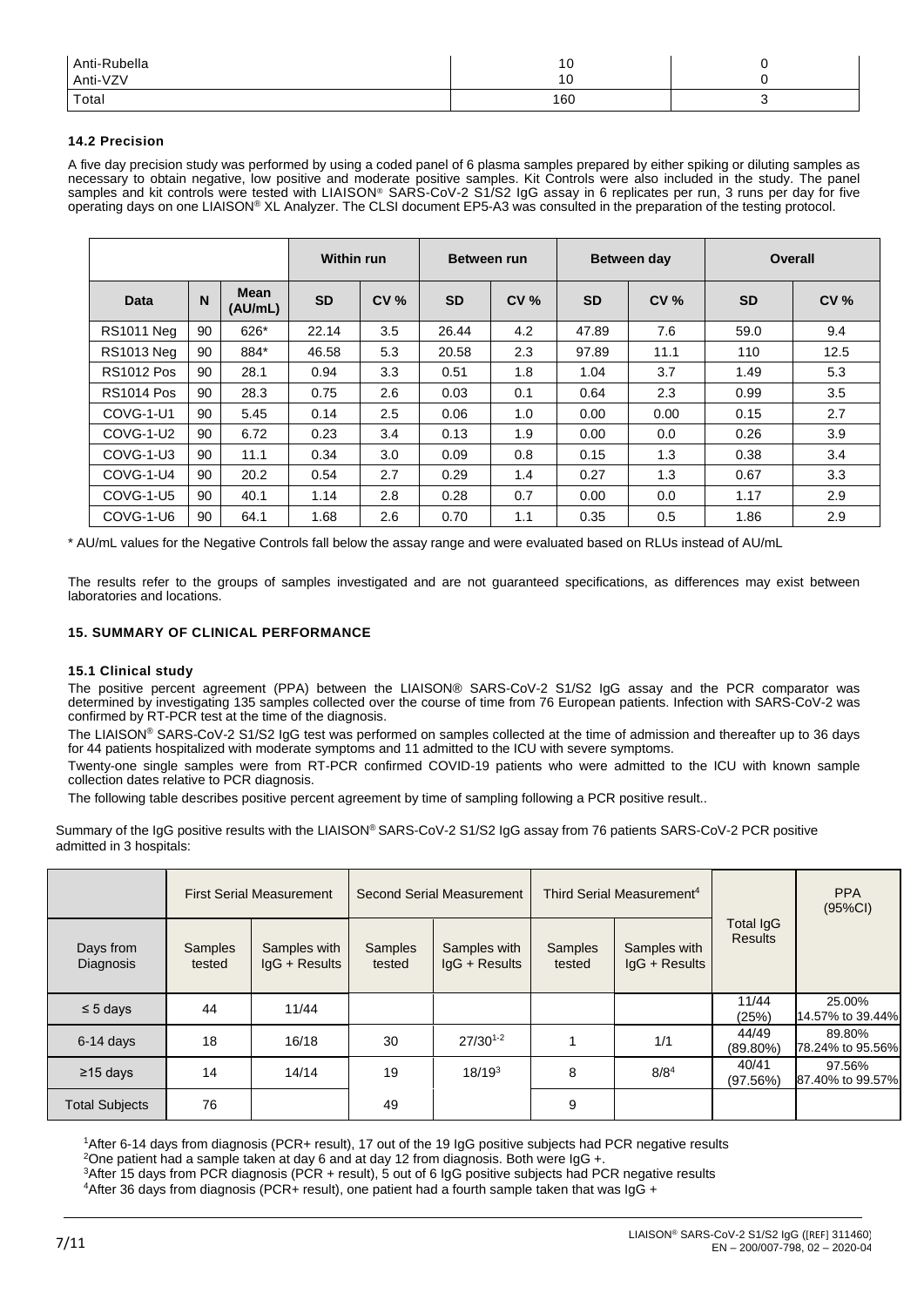| Anti-Rubella | 10  |  |
|--------------|-----|--|
| Anti-VZV     | 16  |  |
| Total        | 160 |  |

### **14.2 Precision**

A five day precision study was performed by using a coded panel of 6 plasma samples prepared by either spiking or diluting samples as necessary to obtain negative, low positive and moderate positive samples. Kit Controls were also included in the study. The panel samples and kit controls were tested with LIAISON® SARS-CoV-2 S1/S2 IgG assay in 6 replicates per run, 3 runs per day for five operating days on one LIAISON® XL Analyzer. The CLSI document EP5-A3 was consulted in the preparation of the testing protocol.

|                   |    | <b>Within run</b>      |           | Between run |           | Between day |           | Overall     |           |             |
|-------------------|----|------------------------|-----------|-------------|-----------|-------------|-----------|-------------|-----------|-------------|
| <b>Data</b>       | N  | <b>Mean</b><br>(AU/mL) | <b>SD</b> | <b>CV %</b> | <b>SD</b> | <b>CV %</b> | <b>SD</b> | <b>CV %</b> | <b>SD</b> | <b>CV %</b> |
| <b>RS1011 Neg</b> | 90 | 626*                   | 22.14     | 3.5         | 26.44     | 4.2         | 47.89     | 7.6         | 59.0      | 9.4         |
| <b>RS1013 Neg</b> | 90 | 884*                   | 46.58     | 5.3         | 20.58     | 2.3         | 97.89     | 11.1        | 110       | 12.5        |
| <b>RS1012 Pos</b> | 90 | 28.1                   | 0.94      | 3.3         | 0.51      | 1.8         | 1.04      | 3.7         | 1.49      | 5.3         |
| <b>RS1014 Pos</b> | 90 | 28.3                   | 0.75      | 2.6         | 0.03      | 0.1         | 0.64      | 2.3         | 0.99      | 3.5         |
| COVG-1-U1         | 90 | 5.45                   | 0.14      | 2.5         | 0.06      | 1.0         | 0.00      | 0.00        | 0.15      | 2.7         |
| COVG-1-U2         | 90 | 6.72                   | 0.23      | 3.4         | 0.13      | 1.9         | 0.00      | 0.0         | 0.26      | 3.9         |
| COVG-1-U3         | 90 | 11.1                   | 0.34      | 3.0         | 0.09      | 0.8         | 0.15      | 1.3         | 0.38      | 3.4         |
| COVG-1-U4         | 90 | 20.2                   | 0.54      | 2.7         | 0.29      | 1.4         | 0.27      | 1.3         | 0.67      | 3.3         |
| COVG-1-U5         | 90 | 40.1                   | 1.14      | 2.8         | 0.28      | 0.7         | 0.00      | 0.0         | 1.17      | 2.9         |
| COVG-1-U6         | 90 | 64.1                   | 1.68      | 2.6         | 0.70      | 1.1         | 0.35      | 0.5         | 1.86      | 2.9         |

\* AU/mL values for the Negative Controls fall below the assay range and were evaluated based on RLUs instead of AU/mL

The results refer to the groups of samples investigated and are not guaranteed specifications, as differences may exist between laboratories and locations.

## **15. SUMMARY OF CLINICAL PERFORMANCE**

### **15.1 Clinical study**

The positive percent agreement (PPA) between the LIAISON® SARS-CoV-2 S1/S2 IgG assay and the PCR comparator was determined by investigating 135 samples collected over the course of time from 76 European patients. Infection with SARS-CoV-2 was confirmed by RT-PCR test at the time of the diagnosis.

The LIAISON® SARS-CoV-2 S1/S2 IgG test was performed on samples collected at the time of admission and thereafter up to 36 days for 44 patients hospitalized with moderate symptoms and 11 admitted to the ICU with severe symptoms.

Twenty-one single samples were from RT-PCR confirmed COVID-19 patients who were admitted to the ICU with known sample collection dates relative to PCR diagnosis.

The following table describes positive percent agreement by time of sampling following a PCR positive result..

Summary of the IgG positive results with the LIAISON® SARS-CoV-2 S1/S2 IgG assay from 76 patients SARS-CoV-2 PCR positive admitted in 3 hospitals:

|                               | <b>First Serial Measurement</b> |                                 | Second Serial Measurement |                                 | Third Serial Measurement <sup>4</sup> |                                 |                             | <b>PPA</b><br>(95%CI)      |
|-------------------------------|---------------------------------|---------------------------------|---------------------------|---------------------------------|---------------------------------------|---------------------------------|-----------------------------|----------------------------|
| Days from<br><b>Diagnosis</b> | <b>Samples</b><br>tested        | Samples with<br>$IqG + Results$ | Samples<br>tested         | Samples with<br>$IqG + Results$ | <b>Samples</b><br>tested              | Samples with<br>$IqG + Results$ | Total IgG<br><b>Results</b> |                            |
| $\leq 5$ days                 | 44                              | 11/44                           |                           |                                 |                                       |                                 | 11/44<br>(25%)              | 25.00%<br>14.57% to 39.44% |
| $6-14$ days                   | 18                              | 16/18                           | 30                        | $27/30^{1-2}$                   |                                       | 1/1                             | 44/49<br>$(89.80\%)$        | 89.80%<br>78.24% to 95.56% |
| $\geq$ 15 days                | 14                              | 14/14                           | 19                        | $18/19^{3}$                     | 8                                     | $8/8^4$                         | 40/41<br>(97.56%)           | 97.56%<br>87.40% to 99.57% |
| <b>Total Subjects</b>         | 76                              |                                 | 49                        |                                 | 9                                     |                                 |                             |                            |

1After 6-14 days from diagnosis (PCR+ result), 17 out of the 19 IgG positive subjects had PCR negative results

<sup>2</sup>One patient had a sample taken at day 6 and at day 12 from diagnosis. Both were IgG +.

<sup>3</sup>After 15 days from PCR diagnosis (PCR + result), 5 out of 6 IgG positive subjects had PCR negative results  $4$ After 36 days from diagnosis (PCR+ result), one patient had a fourth sample taken that was IgG +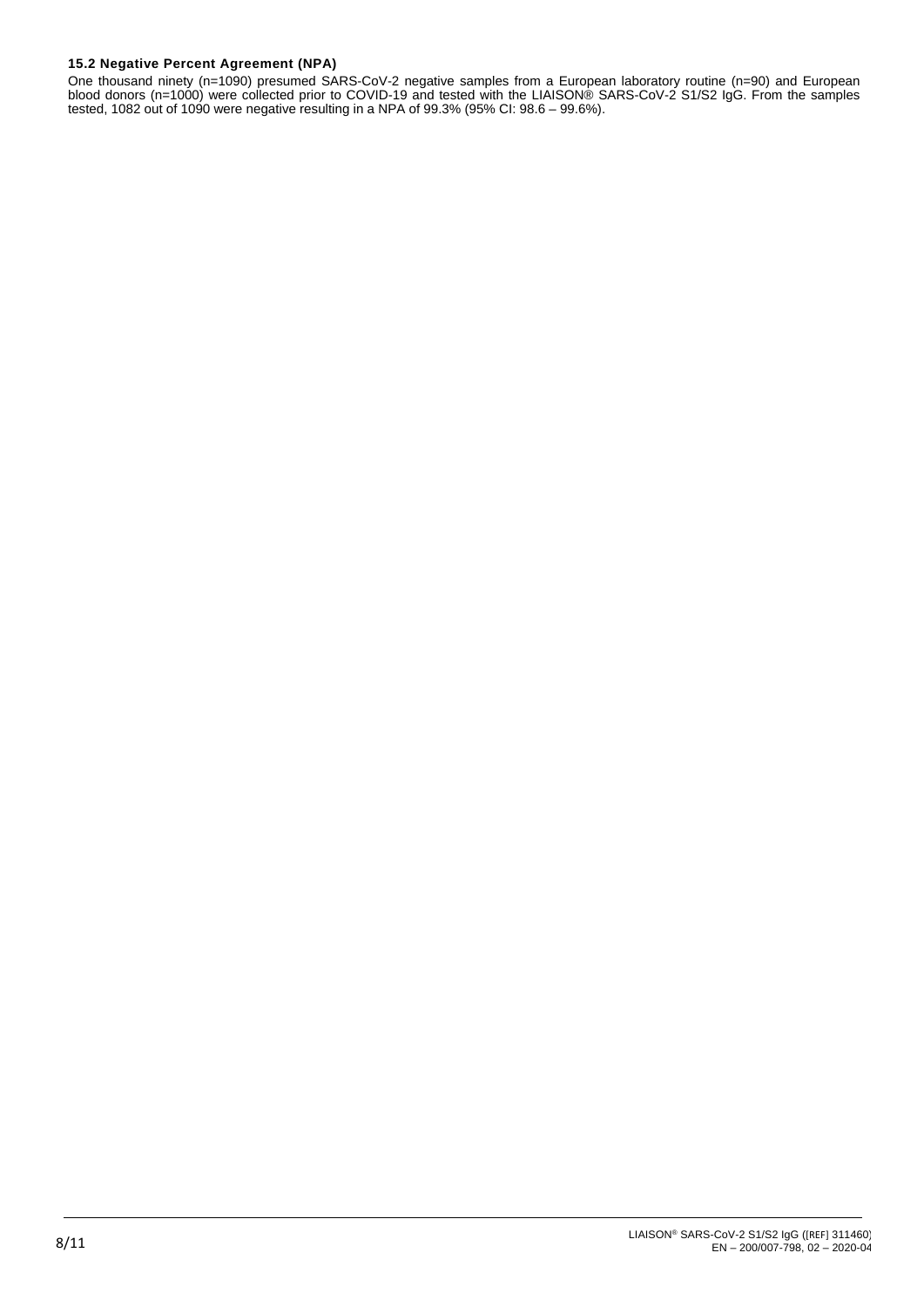# **15.2 Negative Percent Agreement (NPA)**

One thousand ninety (n=1090) presumed SARS-CoV-2 negative samples from a European laboratory routine (n=90) and European blood donors (n=1000) were collected prior to COVID-19 and tested with the LIAISON® SARS-CoV-2 S1/S2 IgG. From the samples tested, 1082 out of 1090 were negative resulting in a NPA of 99.3% (95% CI: 98.6 – 99.6%).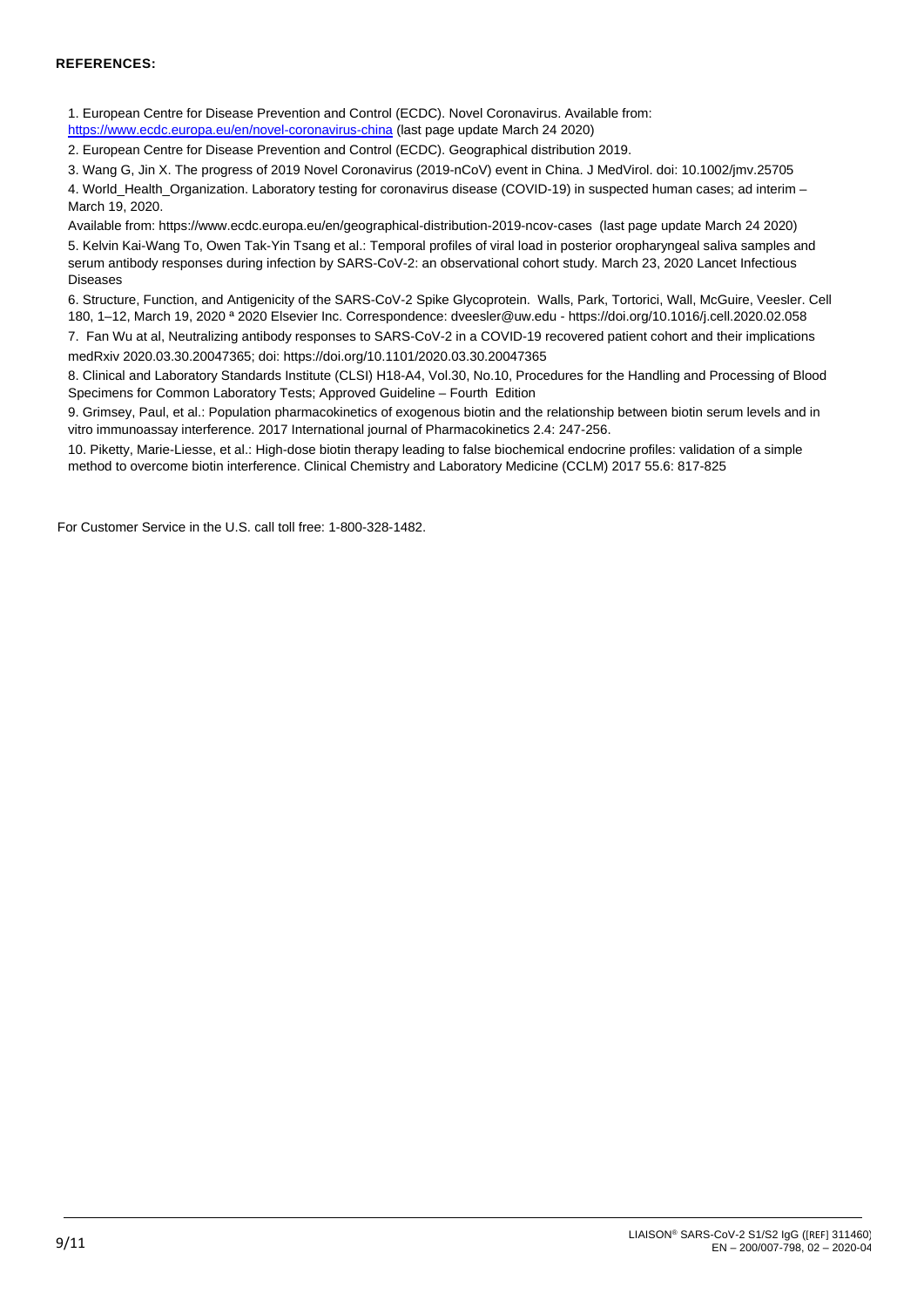## **REFERENCES:**

1. European Centre for Disease Prevention and Control (ECDC). Novel Coronavirus. Available from:

<https://www.ecdc.europa.eu/en/novel-coronavirus-china> (last page update March 24 2020)

2. European Centre for Disease Prevention and Control (ECDC). Geographical distribution 2019.

3. Wang G, Jin X. The progress of 2019 Novel Coronavirus (2019-nCoV) event in China. J MedVirol. doi: 10.1002/jmv.25705

4. World\_Health\_Organization. Laboratory testing for coronavirus disease (COVID-19) in suspected human cases; ad interim – March 19, 2020.

Available from[: https://www.ecdc.europa.eu/en/geographical-distribution-2019-ncov-cases](https://www.ecdc.europa.eu/en/geographical-distribution-2019-ncov-cases) (last page update March 24 2020) 5. Kelvin Kai-Wang To, Owen Tak-Yin Tsang et al.: Temporal profiles of viral load in posterior oropharyngeal saliva samples and serum antibody responses during infection by SARS-CoV-2: an observational cohort study. March 23, 2020 Lancet Infectious Diseases

6. Structure, Function, and Antigenicity of the SARS-CoV-2 Spike Glycoprotein. Walls, Park, Tortorici, Wall, McGuire, Veesler. Cell 180, 1–12, March 19, 2020 ª 2020 Elsevier Inc. Correspondence: [dveesler@uw.edu](mailto:dveesler@uw.edu) - <https://doi.org/10.1016/j.cell.2020.02.058>

7. Fan Wu at al, Neutralizing antibody responses to SARS-CoV-2 in a COVID-19 recovered patient cohort and their implications medRxiv 2020.03.30.20047365; doi:<https://doi.org/10.1101/2020.03.30.20047365>

8. Clinical and Laboratory Standards Institute (CLSI) H18-A4, Vol.30, No.10, Procedures for the Handling and Processing of Blood Specimens for Common Laboratory Tests; Approved Guideline – Fourth Edition

9. Grimsey, Paul, et al.: Population pharmacokinetics of exogenous biotin and the relationship between biotin serum levels and in vitro immunoassay interference. 2017 International journal of Pharmacokinetics 2.4: 247-256.

10. Piketty, Marie-Liesse, et al.: High-dose biotin therapy leading to false biochemical endocrine profiles: validation of a simple method to overcome biotin interference. Clinical Chemistry and Laboratory Medicine (CCLM) 2017 55.6: 817-825

For Customer Service in the U.S. call toll free: 1-800-328-1482.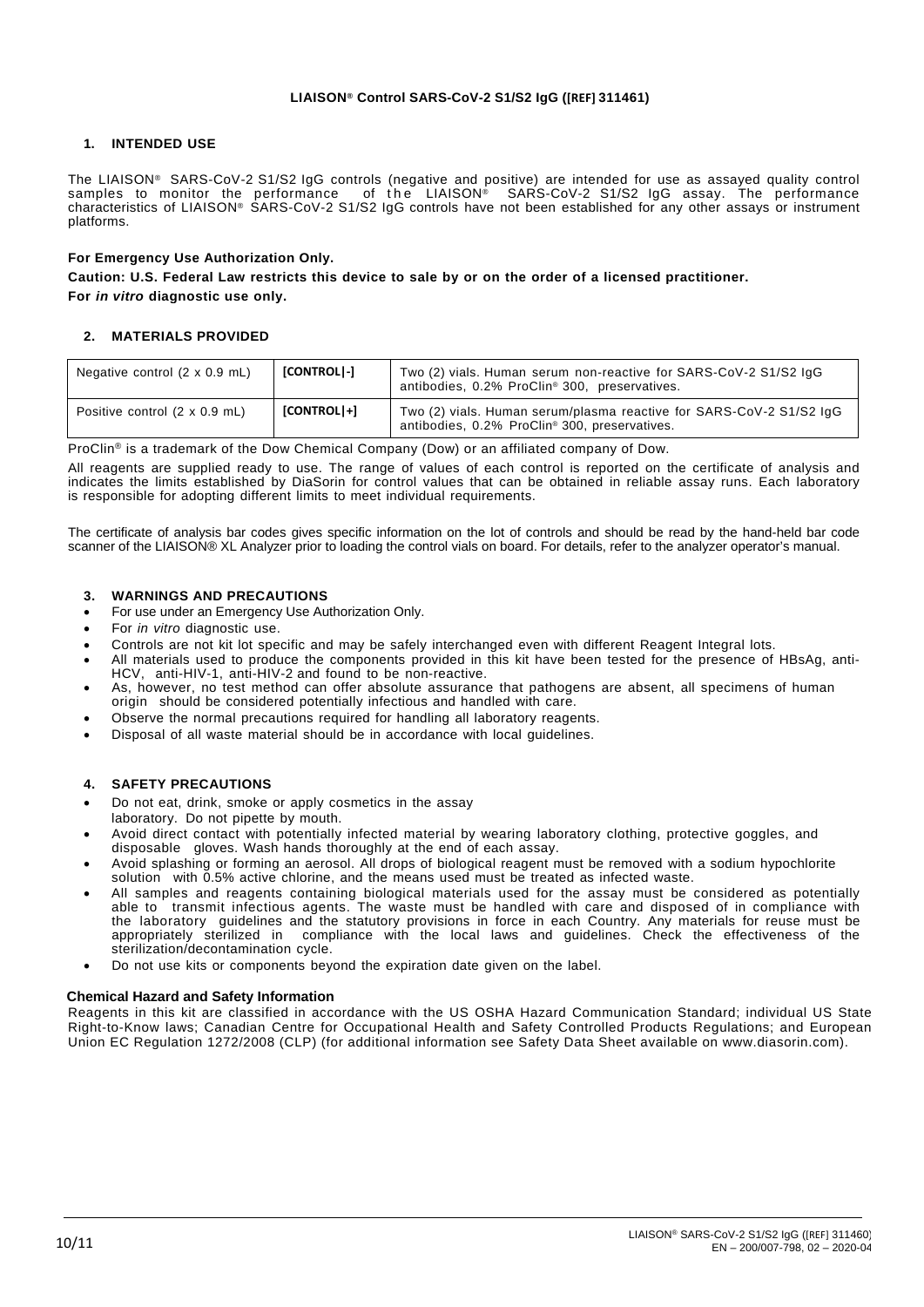## **1. INTENDED USE**

The LIAISON® SARS-CoV-2 S1/S2 IgG controls (negative and positive) are intended for use as assayed quality control samples to monitor the performance of the LIAISON® SARS-CoV-2 S1/S2 IgG assay. The performance characteristics of LIAISON® SARS-CoV-2 S1/S2 IgG controls have not been established for any other assays or instrument platforms.

### **For Emergency Use Authorization Only.**

Caution: U.S. Federal Law restricts this device to sale by or on the order of a licensed practitioner. **For** *in vitro* **diagnostic use only.**

## **2. MATERIALS PROVIDED**

| Negative control $(2 \times 0.9 \text{ mL})$ | [CONTROL]-] | Two (2) vials. Human serum non-reactive for SARS-CoV-2 S1/S2 IgG<br>antibodies, 0.2% ProClin® 300, preservatives.    |
|----------------------------------------------|-------------|----------------------------------------------------------------------------------------------------------------------|
| Positive control (2 x 0.9 mL)                | [CONTROL]+] | Two (2) vials. Human serum/plasma reactive for SARS-CoV-2 S1/S2 IgG<br>antibodies, 0.2% ProClin® 300, preservatives. |

ProClin® is a trademark of the Dow Chemical Company (Dow) or an affiliated company of Dow.

All reagents are supplied ready to use. The range of values of each control is reported on the certificate of analysis and indicates the limits established by DiaSorin for control values that can be obtained in reliable assay runs. Each laboratory is responsible for adopting different limits to meet individual requirements.

The certificate of analysis bar codes gives specific information on the lot of controls and should be read by the hand-held bar code scanner of the LIAISON® XL Analyzer prior to loading the control vials on board. For details, refer to the analyzer operator's manual.

## **3. WARNINGS AND PRECAUTIONS**

- For use under an Emergency Use Authorization Only.
- For *in vitro* diagnostic use.
- Controls are not kit lot specific and may be safely interchanged even with different Reagent Integral lots.
- All materials used to produce the components provided in this kit have been tested for the presence of HBsAg, anti-HCV, anti-HIV-1, anti-HIV-2 and found to be non-reactive.
- As, however, no test method can offer absolute assurance that pathogens are absent, all specimens of human origin should be considered potentially infectious and handled with care.
- Observe the normal precautions required for handling all laboratory reagents.
- Disposal of all waste material should be in accordance with local guidelines.

# **4. SAFETY PRECAUTIONS**

- Do not eat, drink, smoke or apply cosmetics in the assay
- laboratory. Do not pipette by mouth.
- Avoid direct contact with potentially infected material by wearing laboratory clothing, protective goggles, and disposable gloves. Wash hands thoroughly at the end of each assay.
- Avoid splashing or forming an aerosol. All drops of biological reagent must be removed with a sodium hypochlorite solution with 0.5% active chlorine, and the means used must be treated as infected waste.
- All samples and reagents containing biological materials used for the assay must be considered as potentially able to transmit infectious agents. The waste must be handled with care and disposed of in compliance with the laboratory guidelines and the statutory provisions in force in each Country. Any materials for reuse must be appropriately sterilized in compliance with the local laws and guidelines. Check the effectiveness of the sterilization/decontamination cycle.
- Do not use kits or components beyond the expiration date given on the label.

### **Chemical Hazard and Safety Information**

Reagents in this kit are classified in accordance with the US OSHA Hazard Communication Standard; individual US State Right-to-Know laws; Canadian Centre for Occupational Health and Safety Controlled Products Regulations; and European Union EC Regulation 1272/2008 (CLP) (for additional information see Safety Data Sheet available on www.diasorin.com).